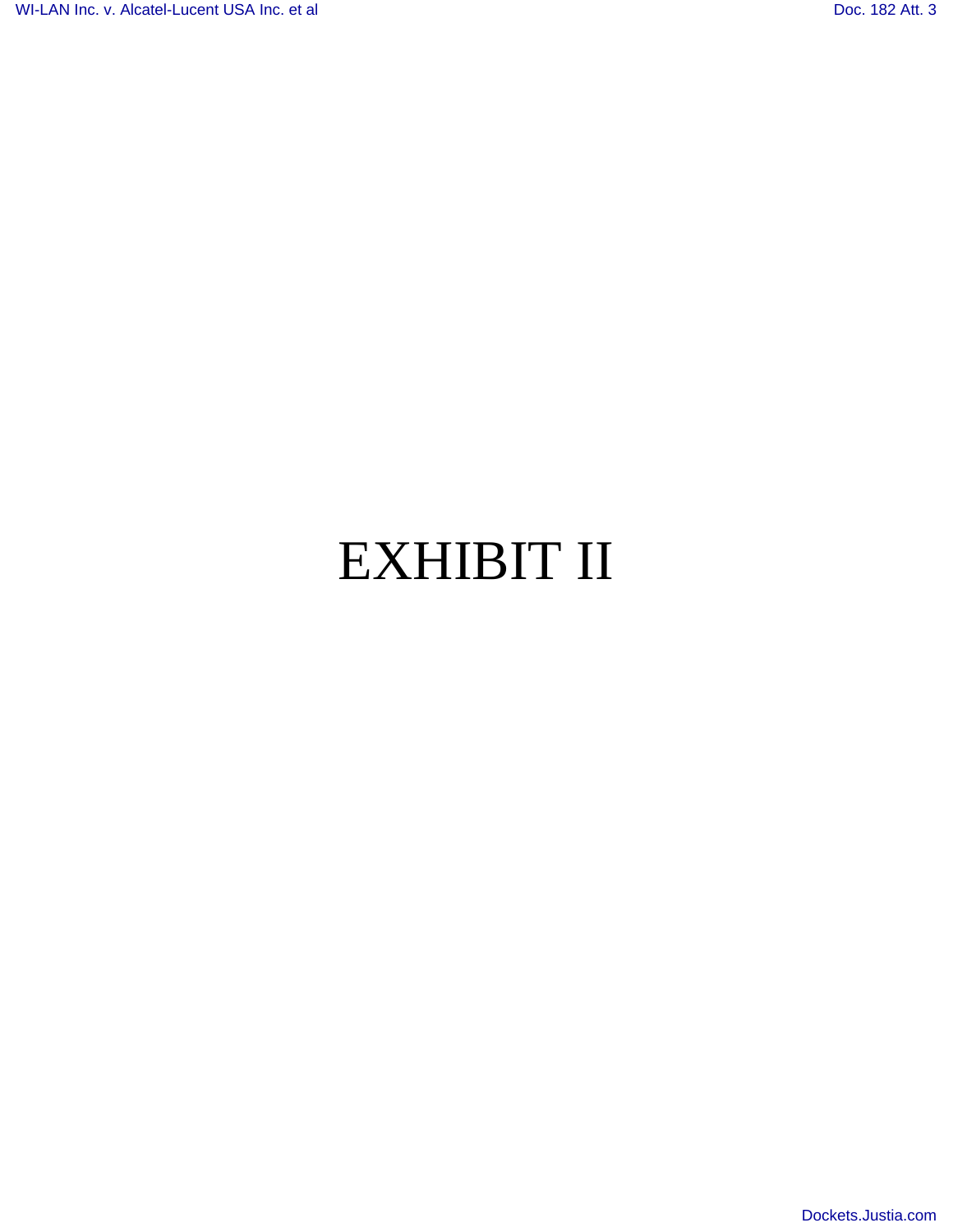# EXHIBIT II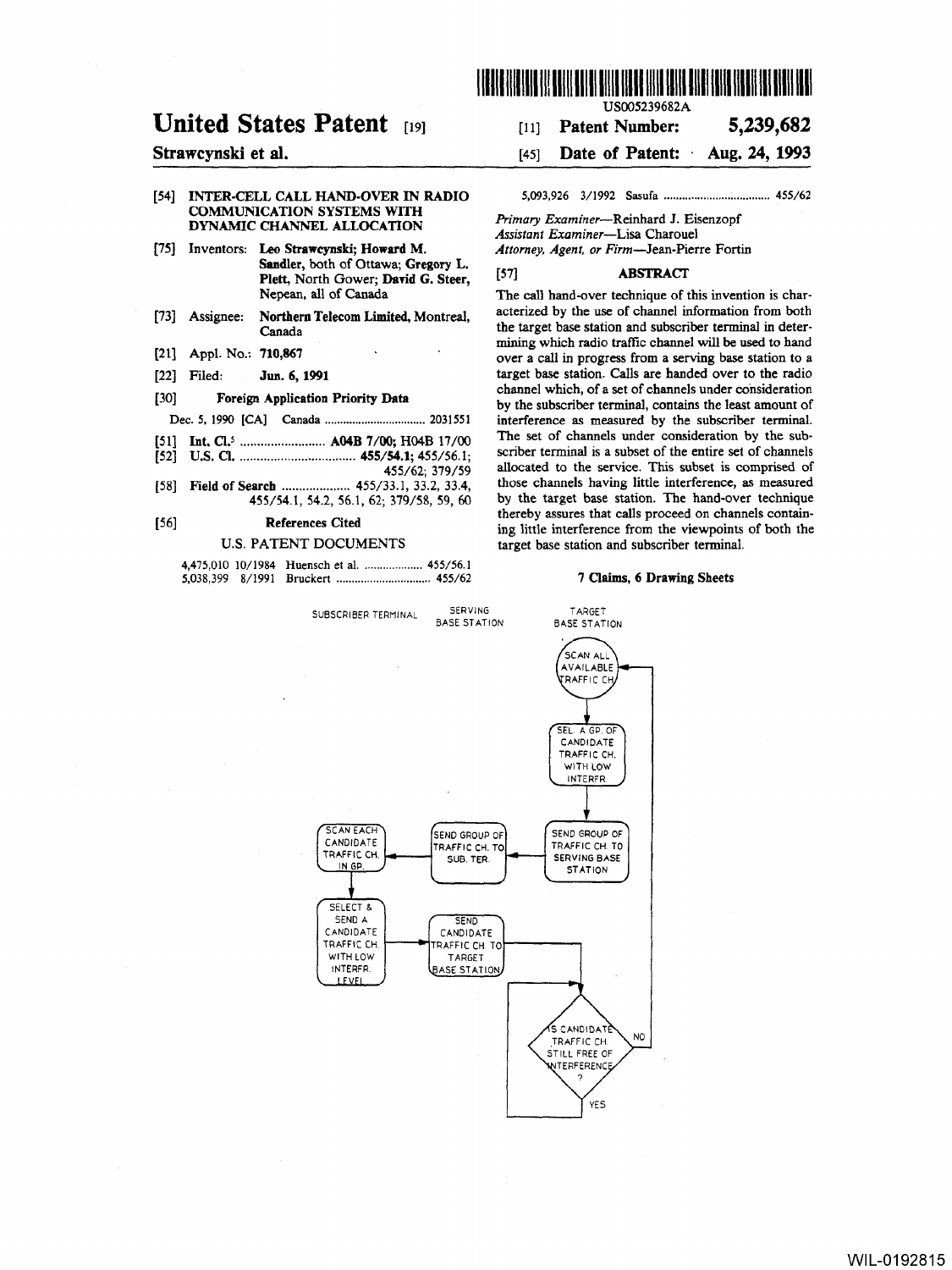

# United States Patent [19]

# Strawcynski et al.

[54] INTER·CELL CALL HAND·OVER IN RADIO COMMUNICATION SYSTEMS WITH DYNAMIC CHANNEL ALLOCATION

- [75] Inventors: Leo Strawcynski; Howard M. Sandler, both of Ottawa; Gregory L. Plett, North Gower; David G. Steer, Nepean, all of Canada
- [73] Assignee: Northern Telecom Limited, Montreal, Canada
- [21] Appl. No.: 710,867
- [22] Filed: Jun. 6, 1991
- [30] Foreign Application Priority Data

Dec. 5, 1990 [CAl Canada ................................. 2031551

- [51] Int. Cl.l ......................... A04B 7/00; H04B 17/00
- [52] U.S. Cl ................................... *455/54.1; 455/56.1;*  455/62; 379/59
- [58] Field of Search ..................... 455/33.1, 33.2, 33.4, 455/54.1,54.2,56.1,62; 379/58, 59, 60

# [56] References Cited

#### U.S. PATENT DOCUMENTS

SUBSCRIBER TERMINAL SERVING

USOO5239682A

# [11] Patent Number: 5,239,682

[45] Date of Patent: Aug. 24, 1993

5,093,926 3/1992 Sasufa ................................... *455/62* 

*Primary* Examiner-Reinhard J. Eisenzopf *Assistant Examiner-Lisa* Charouel *Attorney, Agent, or* Firm-Jean·Pierre Fortin

# [57] **ABSTRACT**

The call hand-over technique of this invention is characterized by the use of channel information from both the target base station and subscriber terminal in determining which radio traffic channel will be used to hand over a call in progress from a serving base station to a target base station. Calls are handed over to the radio channel which, of a set of channels under consideration by the subscriber terminal, contains the least amount of interference as measured by the subscriber terminal. The set of channels under consideration by the subscriber terminal is a subset of the entire set of channels allocated to the service. This subset is comprised of those channels having little interference, as measured by the target base station. The hand-over technique thereby assures that calls proceed on channels containing little interference from the viewpoints of both the target base station and subscriber terminal.

#### 7 Claims, 6 Drawing Sheets

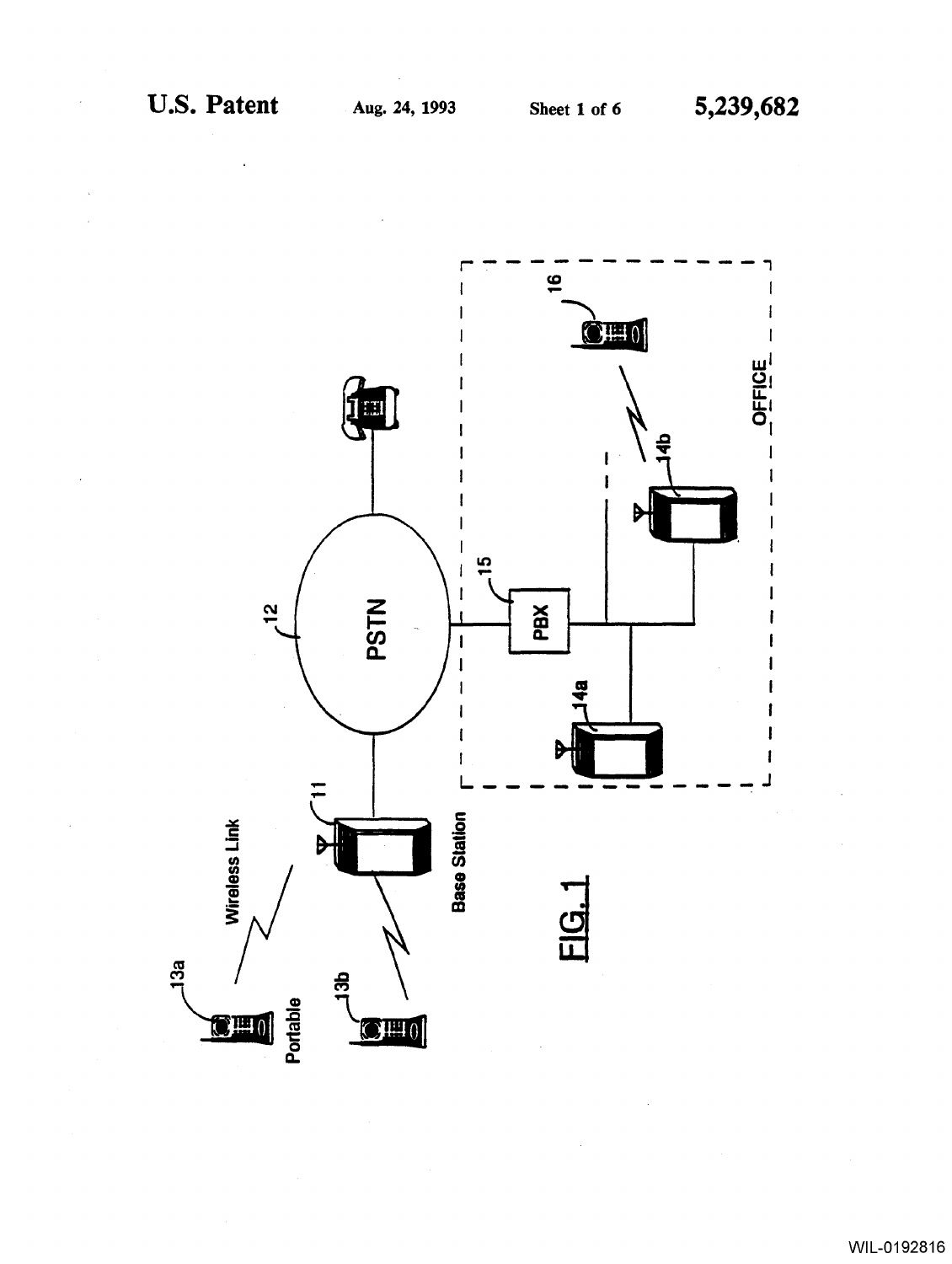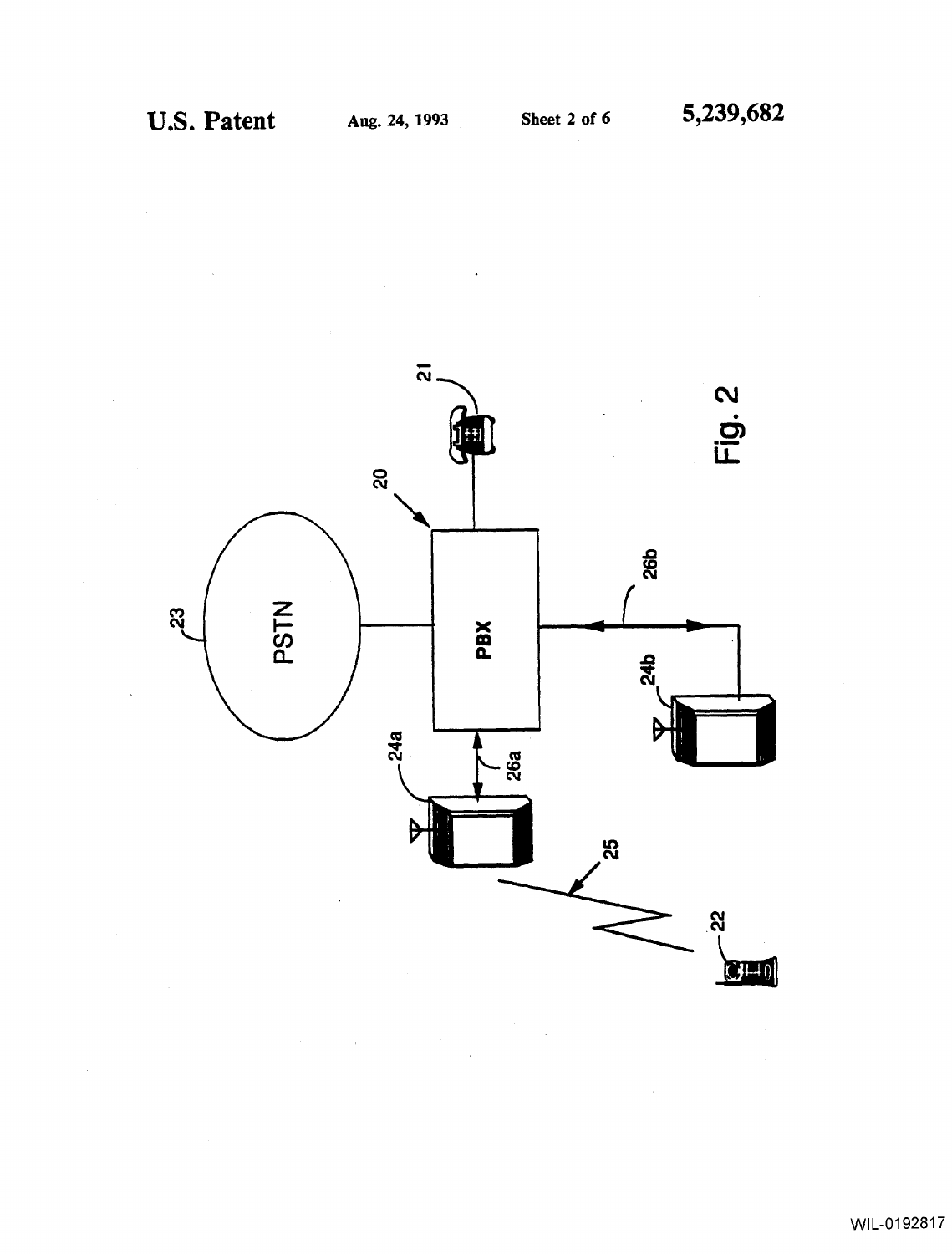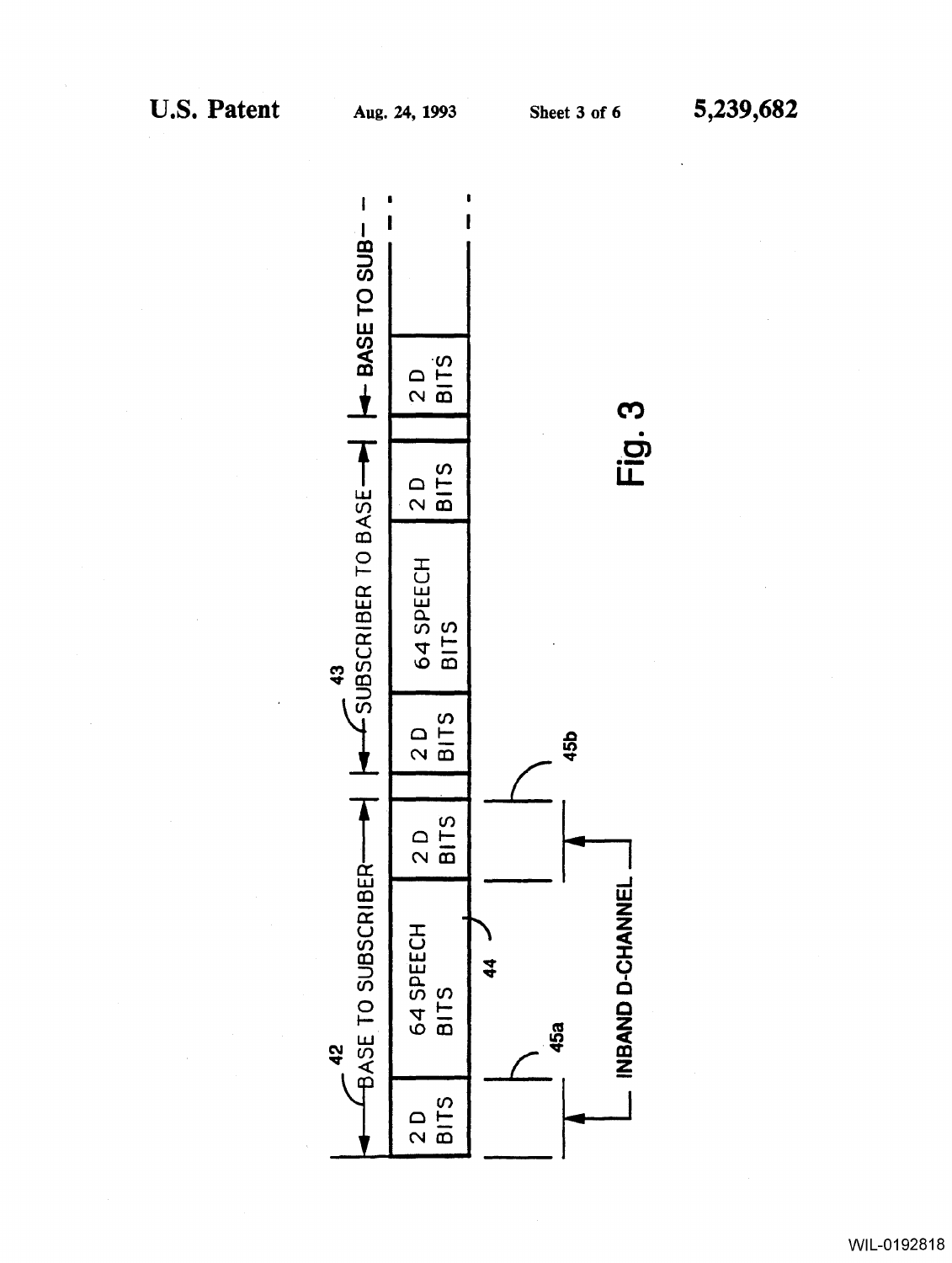

WIL-0192818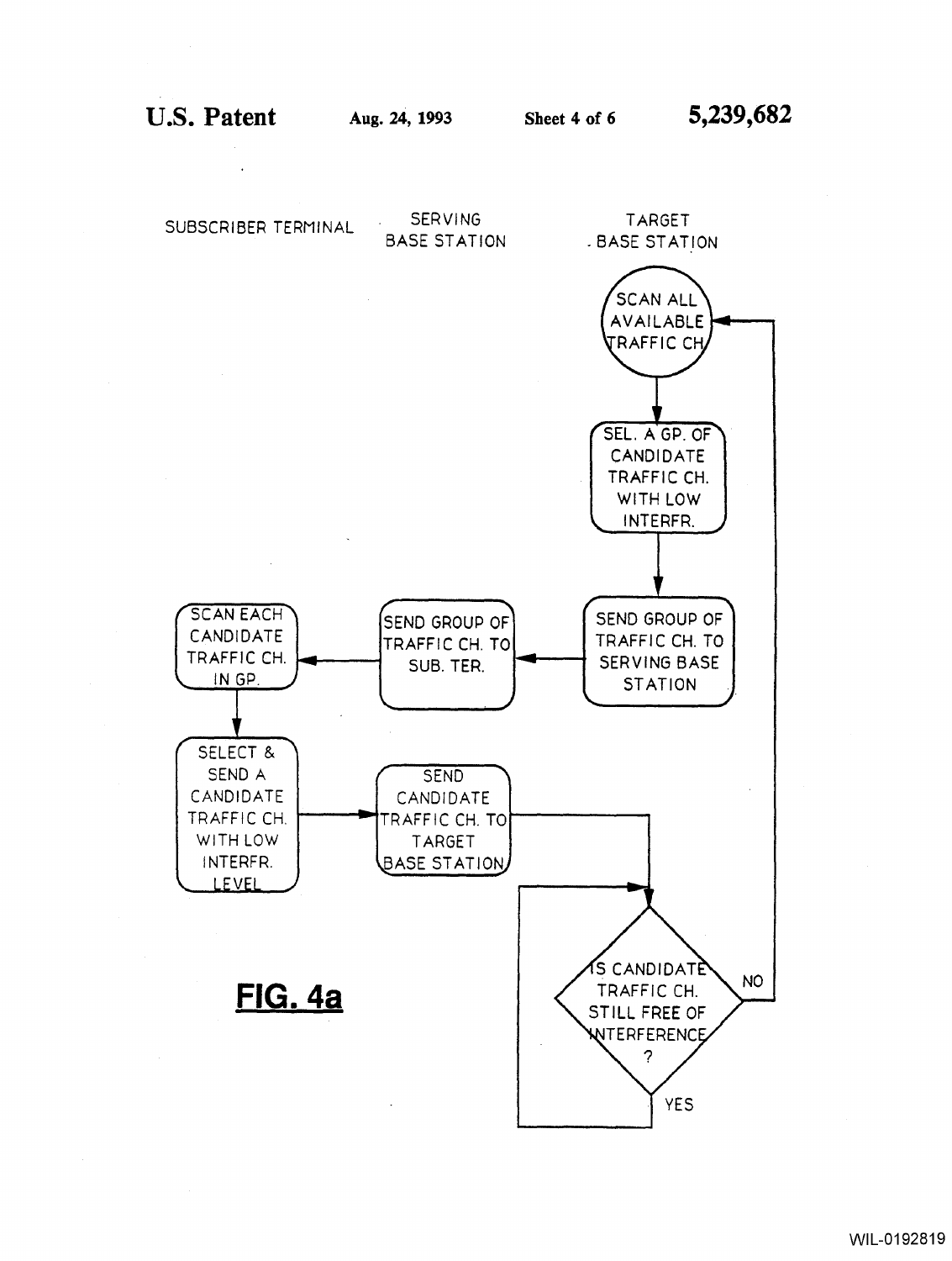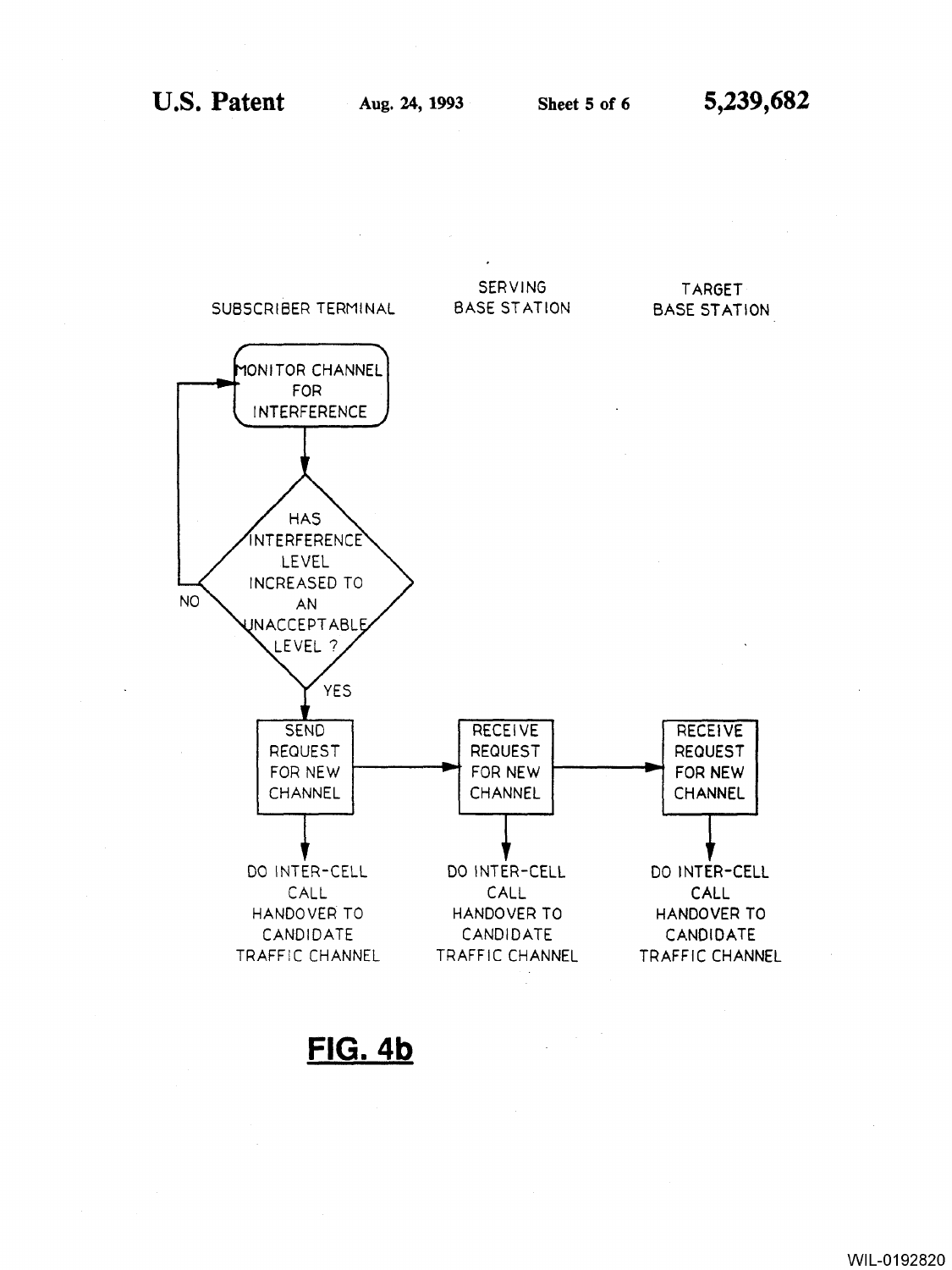

**FIG.4b** 

WIL-0192820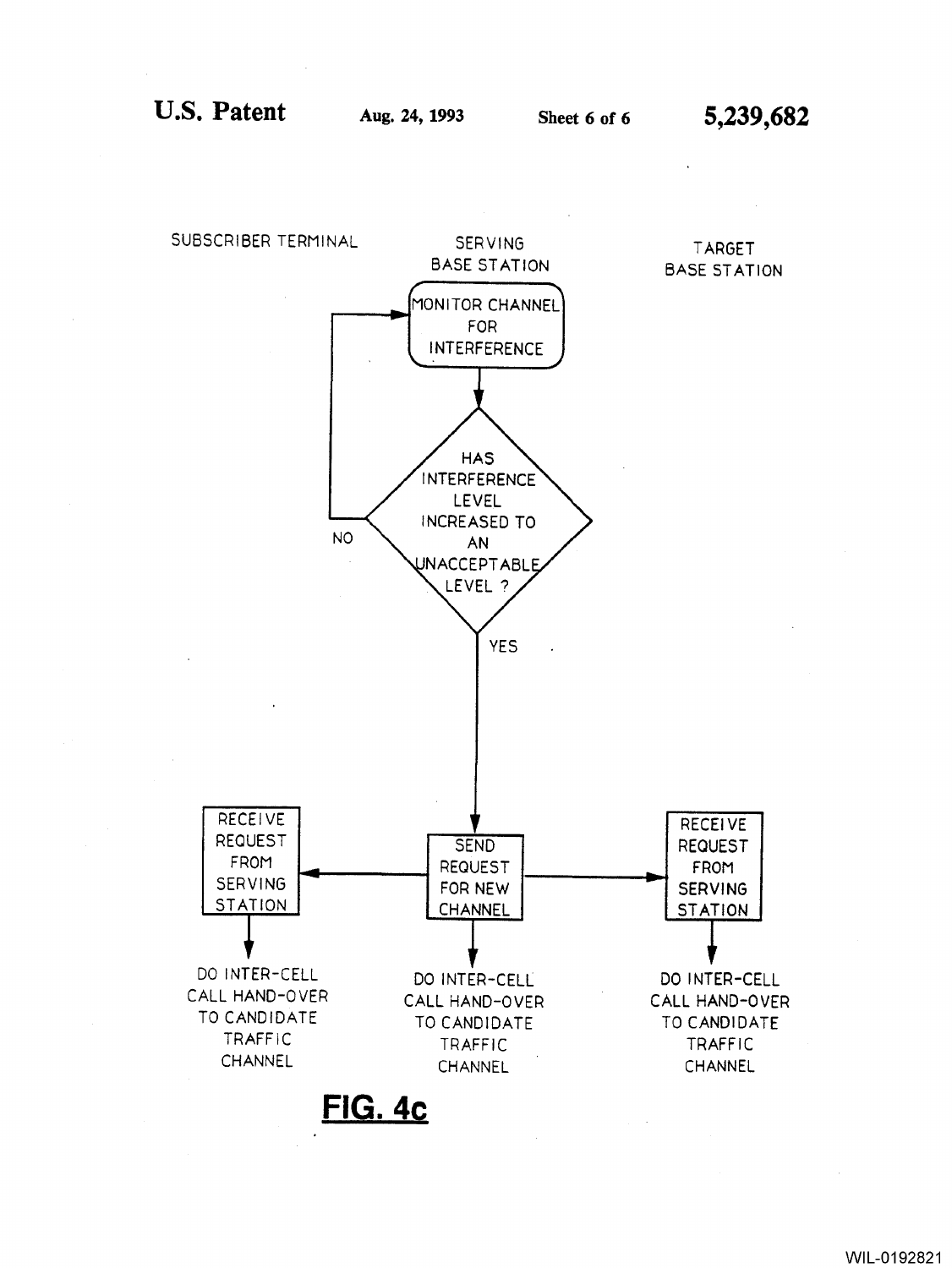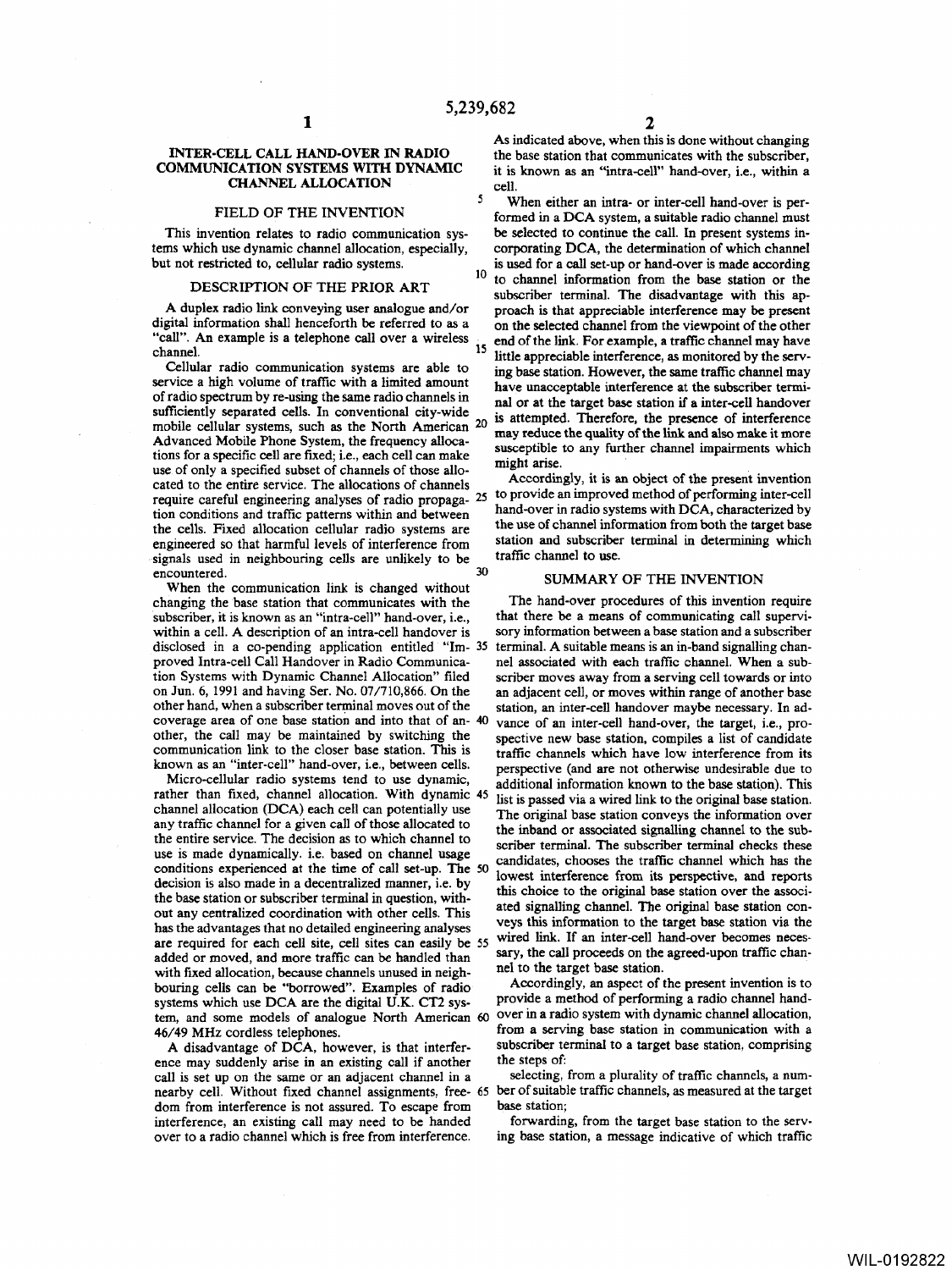5

### INTER-CELL CALL HAND-OVER IN RADIO COMMUNICATION SYSTEMS WITH DYNAMIC CHANNEL ALLOCATION

## FIELD OF THE INVENTION

This invention relates to radio communication systems which use dynamic channel allocation, especially, but not restricted to, cellular radio systems.

#### DESCRIPTION OF THE PRIOR ART

Cellular radio communication systems are able to ing base station. However, the same traffic channel may service a high volume of traffic with a limited amount have unaccentable interference at the subscriber termiservice a high volume of traffic with a limited amount have unacceptable interference at the subscriber termi-<br>of radio spectrum by re-using the same radio channels in and as at the teach have stating if a inter sell hands of radio spectrum by re-using the same radio channels in nal or at the target base station if a inter-cell handover sufficiently separated cells. In conventional city-wide is attenuated. Therefore, the presence of interfer mobile cellular systems, such as the North American 20 mobile cellular systems, such as the North American  $\omega$  may reduce the quality of the link and also make it more<br>Advanced Mobile Phone System, the frequency alloca- susceptible to any further channel impairments which tions for a specific cell are fixed; i.e., each cell can make might arise. use of only a specified subset of channels of those allo-<br>cated to the entire service. The allocations of channels Accordingly, it is an object of the present invention require careful engineering analyses of radio propaga- 25 to provide an improved method of performing inter-cell tion conditions and traffic patterns within and between hand-over in radio systems with DCA, characterized by<br>the cells Fixed allocation cellular radio systems are the use of channel information from both the target base the cells. Fixed allocation cellular radio systems are the use of channel information from both the target base<br>engineered so that harmful levels of interference from station and subscriber terminal in determining which engineered so that harmful levels of interference from station and subscriber teams of in neighbouring cells are unlikely to be traffic channel to use. signals used in neighbouring cells are unlikely to be  $\frac{1}{20}$ encountered.

When the communication link is changed without changing the base station that communicates with the subscriber, it is known as an "intra-cell" hand-over, i.e., within a cell. A description of an intra-cell handover is disclosed in a co-pending application entitled "Im- 35 proved Intra-cell Call Handover in Radio Communication Systems with Dynamic Channel Allocation" filed on Jun. 6, 1991 and having Ser. No. 07/710,866. On the other hand, when a subscriber terminal moves out of the coverage area of one base station and into that of an- 40 other, the call may be maintained by switching the communication link to the closer base station. This is known as an "inter-cell" hand-over, i.e., between cells.

Micro-cellular radio systems tend to use dynamic, rather than fixed, channel allocation. With dynamic 45 channel allocation (DCA) each cell can potentially use any traffic channel for a given call of those allocated to the entire service. The decision as to which channel to use is made dynamically. i.e. based on channel usage conditions experienced at the time of call set-up. The 50 decision is also made in a decentralized manner, i.e. by the base station or subscriber terminal in question, without any centralized coordination with other cells. This has the advantages that no detailed engineering analyses are required for each cell site, cell sites can easily be 55 added or moved, and more traffic can be handled than with fixed allocation, because channels unused in neighbouring cells can be "borrowed". Examples of radio systems which use DCA are the digital U.K. CT2 system, and some models of analogue North American 60 46/49 MHz cordless telephones.

A disadvantage of DCA, however, is that interference may suddenly arise in an existing call if another call is set up on the same or an adjacent channel in a nearby cell. Without fixed channel assignments, free- 65 ber of suitable traffic channels, as measured at the target dom from interference is not assured. To escape from interference, an existing call may need to be handed over to a radio channel which is free from interference.

As indicated above, when this is done without changing the base station that communicates with the subscriber, it is known as an "intra-ceU" hand-over, i.e., within a cell.

When either an intra- or inter-cell hand-over is performed in a DCA system, a suitable radio channel must be selected to continue the call. In present systems incorporating DCA, the determination of which channel is used for a call set-up or hand-over is made according 10 to channel information from the base station or the subscriber terminal. The disadvantage with this ap-A duplex radio link conveying user analogue and/or proach is that appreciable interference may be present digital information shall henceforth be referred to as a on the selected channel from the viewpoint of the other digital information shall henceforth be referred to as a some the selected channel from the viewpoint of the other<br>"call". An example is a telephone call over a wireless end of the link. For example, a traffic channel may "call". An example is a telephone call over a wireless end of the link. For example, a traffic channel may have<br>thannel.  $\frac{15}{15}$  little appreciable interference, as monitored by the serv-<br>Cellular radio communication systems are able to  $\frac{15}{10}$  hase station. However, the same traffic channel may is attempted. Therefore, the presence of interference

#### SUMMARY OF THE INVENTION

The hand-over procedures of this invention require that there be a means of communicating call supervisory information between a base station and a subscriber terminal. A suitable means is an in-band signalling channel associated with each traffic channel. When a subscriber moves away from a serving cell towards or into an adjacent cell, or moves within range of another base station, an inter-cell handover maybe necessary. In advance of an inter-cell hand-over, the target, i.e., prospective new base station, compiles a list of candidate traffic channels which have low interference from its perspective (and are not otherwise undesirable due to additional information known to the base station). This list is passed via a wired link to the original base station. The original base station conveys the information over the inband or associated signalling channel to the subscriber terminal. The subscriber terminal checks these candidates, chooses the traffic channel which has the lowest interference from its perspective, and reports this choice to the original base station over the associated signalling channel. The original base station conveys this information to the target base station via the wired link. If an inter-cell hand-over becomes necessary, the call proceeds on the agreed-upon traffic channel to the target base station.

Accordingly, an aspect of the present invention is to provide a method of performing a radio channel handover in a radio system with dynamic channel allocation, from a serving base station in communication with a subscriber terminal to a target base station, comprising the steps of:

selecting, from a plurality of traffic channels, a numbase station;

forwarding, from the target base station to the serving base station, a message indicative of which traffic

WIL-0192822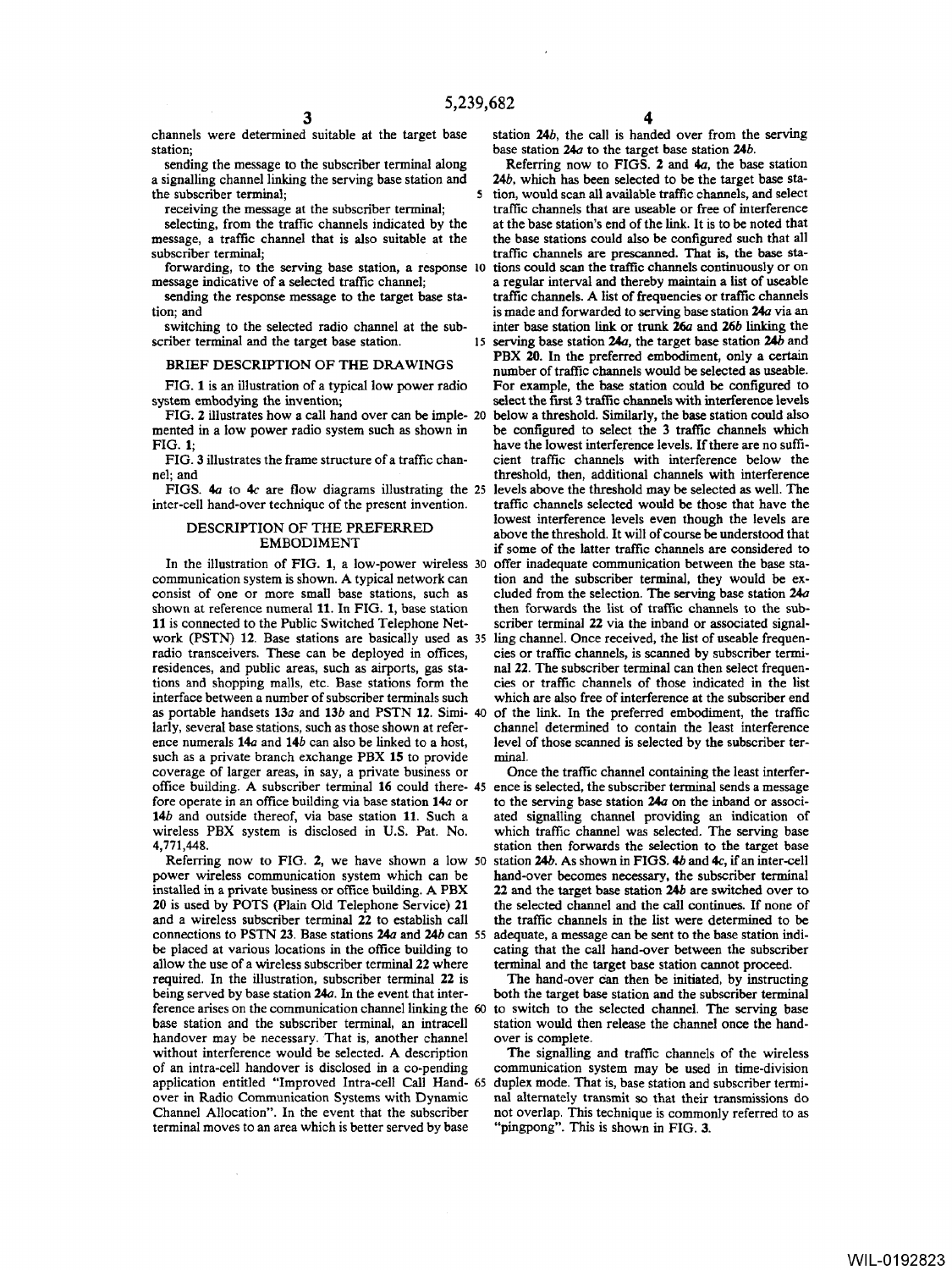channels were determined suitable at the target base station;

sending the message to the subscriber terminal along a signalling channel linking the serving base station and the subscriber terminal;

receiving the message at the subscriber terminal;

selecting, from the traffic channels indicated by the message, a traffic channel that is also suitable at the subscriber terminal;

forwarding, to the serving base station, a response message indicative of a selected traffic channel;

sending the response message to the target base station; and

switching to the selected radio channel at the subscriber terminal and the target base station.

# BRIEF DESCRIPTION OF THE DRAWINGS

FIG. 1 is an illustration of a typical low power radio

FIG. 2 illustrates how a call hand over can be imple- 20

inter-cell hand-over technique of the present invention.

## DESCRIPTION OF THE PREFERRED EMBODIMENT

In the illustration of FIG. 1, a low-power wireless 30 communication system is shown. A typical network can consist of one or more small base stations, such as shown at reference numeral 11. In FIG. 1, base station then forwards the list of traffic channels to the sub-<br>11 is connected to the Public Switched Telephone Net-<br>scriber terminal 22 via the inband or associated signal-11 is connected to the Public Switched Telephone Net-<br>work (PSTN) 12. Base stations are basically used as 35 ling channel. Once received, the list of useable frequenwork (PSTN) 12. Base stations are basically used as 35 ling channel. Once received, the list of useable frequen-<br>radio transceivers. These can be deployed in offices, cies or traffic channels, is scanned by subscriber term radio transceivers. These can be deployed in offices, residences, and public areas, such as airports, gas sta-<br>tions and shopping malls, etc. Base stations form the cies or traffic channels of those indicated in the list tions and shopping malls, etc. Base stations form the interface between a number of subscriber terminals such interface between a number of subscriber terminals such which are also free of interference at the subscriber end<br>as portable handsets 13*a* and 13*b* and PSTN 12. Simi-40 of the link. In the preferred embodiment, the traf as portable handsets **13a** and **13b** and **PSTN 12**. Simi-40 of the link. In the preferred embodiment, the traffic larly, several base stations, such as those shown at refer-<br>channel determined to contain the least interfer larly, several base stations, such as those shown at refer-<br>ence numerals  $14a$  and  $14b$  can also be linked to a host, level of those scanned is selected by the subscriber tersuch as a private branch exchange PBX 15 to provide minal. coverage of larger areas, in say, a private business or Once the traffic channel containing the least interferoffice building. A subscriber terminal 16 could there- 45 ence is selected, the subscriber terminal sends a message fore operate in an office building via base station  $14a$  or to the serving base station  $24a$  on the inb fore operate in an office building via base station 14a or 14*b* and outside thereof, via base station 11. Such a ated signalling channel providing an indication of wireless PBX system is disclosed in U.S. Pat. No. which traffic channel was selected. The serving base

Referring now to FIG. 2, we have shown a low 50 power wireless communication system which can be installed in a private business or office building. A PBX 20 is used by POTS (Plain Old Telephone Service) 21 the selected channel and the call continues. If none of and a wireless subscriber terminal 22 to establish call the traffic channels in the list were determined to be connections to PSTN 23. Base stations 24*a* and 24*b* can 55 adequate, a message can be sent to the base station indi-<br>be placed at various locations in the office building to cating that the call hand-over between the sub allow the use of a wireless subscriber terminal 22 where terminal and the target base station cannot proceed.<br>
required. In the illustration, subscriber terminal 22 is The hand-over can then be initiated, by instructing required. In the illustration, subscriber terminal 22 is being served by base station 24*d*. In the event that inter-<br>for the target base station and the subscriber terminal<br>ference arises on the communication channel linking the 60 to switch to the selected channel. The serving ference arises on the communication channel linking the 60 base station and the subscriber terminal, an intracell station would then release the channel once the hand-<br>handover may be necessary. That is, another channel over is complete. handover may be necessary. That is, another channel without interference would be selected. A description The signalling and traffic channels of the wireless of an intra-cell handover is disclosed in a co-pending communication system may be used in time-division application entitled "Improved Intra-cell Call Hand- 65 duplex mode. That is, base station and subscriber termiover in Radio Communication Systems with Dynamic nal alternately transmit so that their transmissions do terminal moves to an area which is better served by base

station *24b,* the call is handed over from the serving base station *240* to the target base station *24b.* 

Referring now to FIGS. 2 and  $4a$ , the base station *24b,* which has been selected to be the target base station, would scan all available traffic channels, and select traffic channels that are useable or free of interference at the base station's end of the link. It is to be noted that the base stations could also be configured such that all traffic channels are prescanned. That is, the base stations could scan the traffic channels continuously or on a regular interval and thereby maintain a list of useable traffic channels. A list of frequencies or traffic channels is made and forwarded to serving base station *240* via an inter base station link or trunk. *26a* and *26b* linking the 15 serving base station *240,* the target base station *24b* and PBX 20. In the preferred embodiment, only a certain number of traffic channels would be selected as useable.<br>For example, the base station could be configured to system embodying the invention; select the first 3 traffic channels with interference levels<br>FIG. 2 illustrates how a call hand over can be imple- 20 below a threshold. Similarly, the base station could also mented in a low power radio system such as shown in be configured to select the 3 traffic channels which<br>FIG. 1; have the lowest interference levels. If there are no suffihave the lowest interference levels. If there are no suffi-FIG. 3 illustrates the frame structure of a traffic chan-<br>nel: and<br>traffic chan-<br>traffic channels with interference below the<br>threshold, then, additional channels with interference threshold, then, additional channels with interference levels above the threshold may be selected as well. The FIGS. 4*a* to 4*c* are flow diagrams illustrating the 25 levels above the threshold may be selected as well. The ter-cell hand-over technique of the present invention. traffic channels selected would be those that have the lowest interference levels even though the levels are above the threshold. It will of course be understood that if some of the latter traffic channels are considered to tion and the subscriber terminal, they would be ex-<br>cluded from the selection. The serving base station  $24a$ level of those scanned is selected by the subscriber ter-

which traffic channel was selected. The serving base 4,771,448.<br>Referring now to FIG. 2, we have shown a low 50 station 24b. As shown in FIGS. 4b and 4c, if an inter-cell hand-over becomes necessary, the subscriber terminal 22 and the target base station 24b are switched over to the traffic channels in the list were determined to be cating that the call hand-over between the subscriber

Channel Allocation". In the event that the subscriber not overlap. This technique is commonly referred to as terminal moves to an area which is better served by base "pingpong". This is shown in FIG. 3.